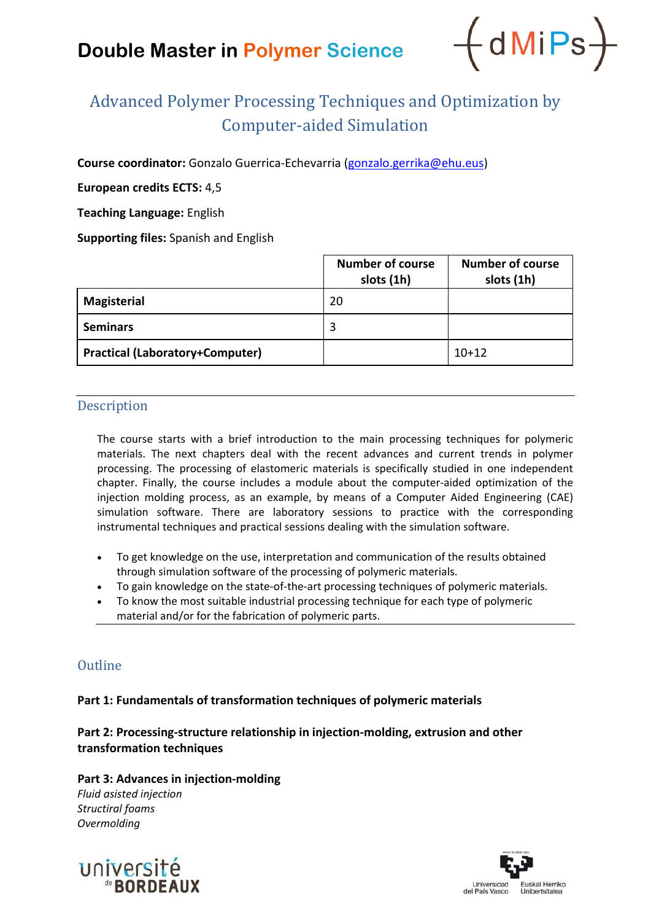# **Double Master in Polymer Science**



# Advanced Polymer Processing Techniques and Optimization by Computer‐aided Simulation

**Course coordinator:** Gonzalo Guerrica‐Echevarria (gonzalo.gerrika@ehu.eus)

## **European credits ECTS:** 4,5

**Teaching Language:** English

**Supporting files:** Spanish and English

|                                        | <b>Number of course</b><br>slots (1h) | <b>Number of course</b><br>slots (1h) |
|----------------------------------------|---------------------------------------|---------------------------------------|
| <b>Magisterial</b>                     | 20                                    |                                       |
| <b>Seminars</b>                        | 3                                     |                                       |
| <b>Practical (Laboratory+Computer)</b> |                                       | $10+12$                               |

### Description

The course starts with a brief introduction to the main processing techniques for polymeric materials. The next chapters deal with the recent advances and current trends in polymer processing. The processing of elastomeric materials is specifically studied in one independent chapter. Finally, the course includes a module about the computer‐aided optimization of the injection molding process, as an example, by means of a Computer Aided Engineering (CAE) simulation software. There are laboratory sessions to practice with the corresponding instrumental techniques and practical sessions dealing with the simulation software.

- To get knowledge on the use, interpretation and communication of the results obtained through simulation software of the processing of polymeric materials.
- To gain knowledge on the state‐of‐the‐art processing techniques of polymeric materials.
- To know the most suitable industrial processing technique for each type of polymeric material and/or for the fabrication of polymeric parts.

## **Outline**

### **Part 1: Fundamentals of transformation techniques of polymeric materials**

**Part 2: Processing‐structure relationship in injection‐molding, extrusion and other transformation techniques**

### **Part 3: Advances in injection‐molding**

*Fluid asisted injection Structiral foams Overmolding*